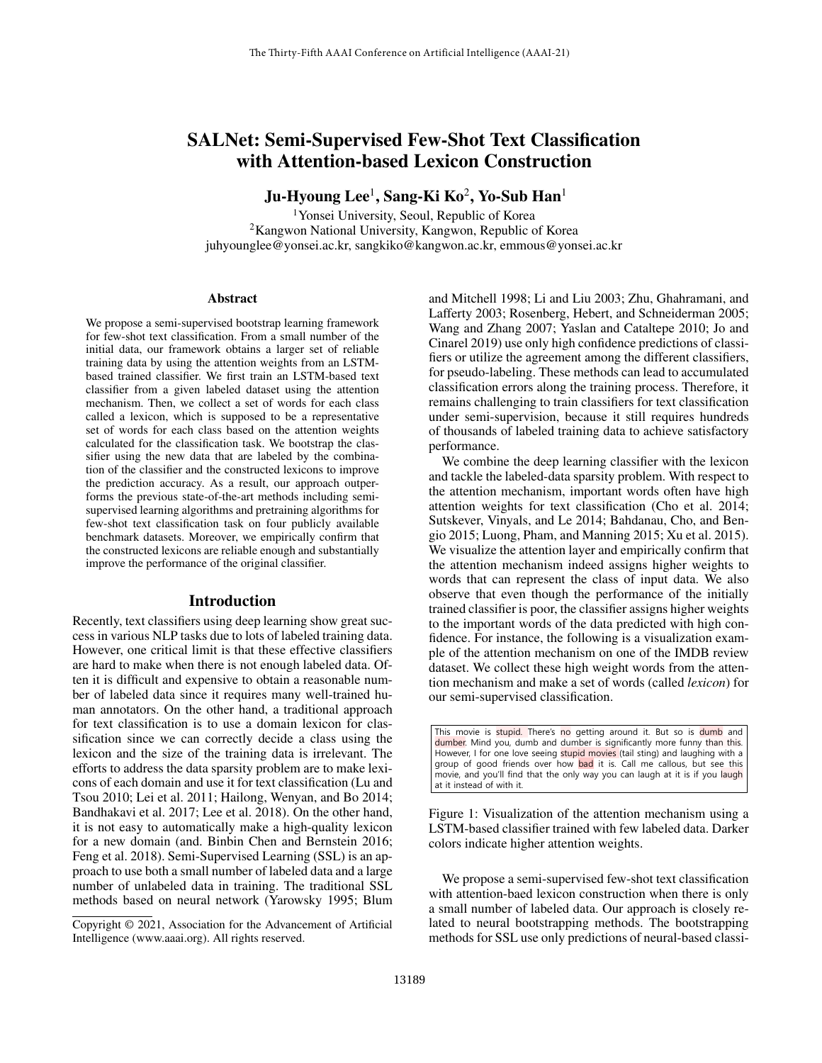# SALNet: Semi-Supervised Few-Shot Text Classification with Attention-based Lexicon Construction

Ju-Hyoung Lee $^1$ , Sang-Ki Ko $^2$ , Yo-Sub Han $^1$ 

<sup>1</sup>Yonsei University, Seoul, Republic of Korea <sup>2</sup>Kangwon National University, Kangwon, Republic of Korea juhyounglee@yonsei.ac.kr, sangkiko@kangwon.ac.kr, emmous@yonsei.ac.kr

#### Abstract

We propose a semi-supervised bootstrap learning framework for few-shot text classification. From a small number of the initial data, our framework obtains a larger set of reliable training data by using the attention weights from an LSTMbased trained classifier. We first train an LSTM-based text classifier from a given labeled dataset using the attention mechanism. Then, we collect a set of words for each class called a lexicon, which is supposed to be a representative set of words for each class based on the attention weights calculated for the classification task. We bootstrap the classifier using the new data that are labeled by the combination of the classifier and the constructed lexicons to improve the prediction accuracy. As a result, our approach outperforms the previous state-of-the-art methods including semisupervised learning algorithms and pretraining algorithms for few-shot text classification task on four publicly available benchmark datasets. Moreover, we empirically confirm that the constructed lexicons are reliable enough and substantially improve the performance of the original classifier.

# Introduction

Recently, text classifiers using deep learning show great success in various NLP tasks due to lots of labeled training data. However, one critical limit is that these effective classifiers are hard to make when there is not enough labeled data. Often it is difficult and expensive to obtain a reasonable number of labeled data since it requires many well-trained human annotators. On the other hand, a traditional approach for text classification is to use a domain lexicon for classification since we can correctly decide a class using the lexicon and the size of the training data is irrelevant. The efforts to address the data sparsity problem are to make lexicons of each domain and use it for text classification (Lu and Tsou 2010; Lei et al. 2011; Hailong, Wenyan, and Bo 2014; Bandhakavi et al. 2017; Lee et al. 2018). On the other hand, it is not easy to automatically make a high-quality lexicon for a new domain (and. Binbin Chen and Bernstein 2016; Feng et al. 2018). Semi-Supervised Learning (SSL) is an approach to use both a small number of labeled data and a large number of unlabeled data in training. The traditional SSL methods based on neural network (Yarowsky 1995; Blum

and Mitchell 1998; Li and Liu 2003; Zhu, Ghahramani, and Lafferty 2003; Rosenberg, Hebert, and Schneiderman 2005; Wang and Zhang 2007; Yaslan and Cataltepe 2010; Jo and Cinarel 2019) use only high confidence predictions of classifiers or utilize the agreement among the different classifiers, for pseudo-labeling. These methods can lead to accumulated classification errors along the training process. Therefore, it remains challenging to train classifiers for text classification under semi-supervision, because it still requires hundreds of thousands of labeled training data to achieve satisfactory performance.

We combine the deep learning classifier with the lexicon and tackle the labeled-data sparsity problem. With respect to the attention mechanism, important words often have high attention weights for text classification (Cho et al. 2014; Sutskever, Vinyals, and Le 2014; Bahdanau, Cho, and Bengio 2015; Luong, Pham, and Manning 2015; Xu et al. 2015). We visualize the attention layer and empirically confirm that the attention mechanism indeed assigns higher weights to words that can represent the class of input data. We also observe that even though the performance of the initially trained classifier is poor, the classifier assigns higher weights to the important words of the data predicted with high confidence. For instance, the following is a visualization example of the attention mechanism on one of the IMDB review dataset. We collect these high weight words from the attention mechanism and make a set of words (called *lexicon*) for our semi-supervised classification. bserve that even though the performance of the initially<br>rained classifier is poor, the classifier assigns higher weights<br>o the important words of the data predicted with high con-<br>idence. For instance, the following is a This movie is stupid. There's no getting around it. But so is dumb and dumber. This movie is stupid. There's no getting it and it are function mechanism and make a set of words from the attention mechanism and make a set rained classifier is poor, the classifier assigns higher weights<br>o the important words of the data predicted with high con-<br>idence. For instance, the following is a visualization exam-<br>le of the attention mechanism on one by the important words of the data predicted with high con-<br>idence. For instance, the following is a visualization exam-<br>le of the attention mechanism on one of the IMDB review<br>ataset. We collect these high weight words fr idence. For instance, the following is a visualization exam-<br>le of the attention mechanism on one of the IMDB review<br>ataset. We collect these high weight words from the atten-<br>ion mechanism and make a set of words (called dence. For instance, the following is a visualizatie of the attention mechanism on one of the IME ataset. We collect these high weight words from ion mechanism and make a set of words (called *le*, ur semi-supervised clas

Figure 1: Visualization of the attention mechanism using a LSTM-based classifier trained with few labeled data. Darker colors indicate higher attention weights.

We propose a semi-supervised few-shot text classification with attention-baed lexicon construction when there is only a small number of labeled data. Our approach is closely related to neural bootstrapping methods. The bootstrapping methods for SSL use only predictions of neural-based classi-

Copyright © 2021, Association for the Advancement of Artificial Intelligence (www.aaai.org). All rights reserved.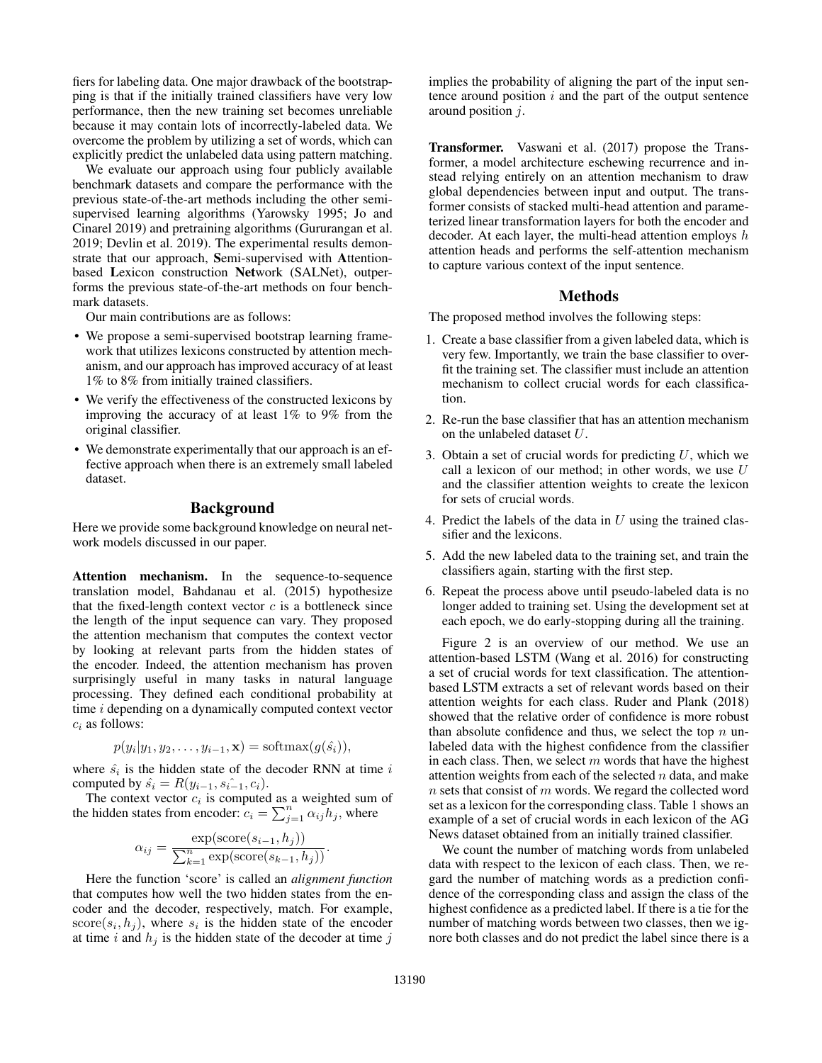fiers for labeling data. One major drawback of the bootstrapping is that if the initially trained classifiers have very low performance, then the new training set becomes unreliable because it may contain lots of incorrectly-labeled data. We overcome the problem by utilizing a set of words, which can explicitly predict the unlabeled data using pattern matching.

We evaluate our approach using four publicly available benchmark datasets and compare the performance with the previous state-of-the-art methods including the other semisupervised learning algorithms (Yarowsky 1995; Jo and Cinarel 2019) and pretraining algorithms (Gururangan et al. 2019; Devlin et al. 2019). The experimental results demonstrate that our approach, Semi-supervised with Attentionbased Lexicon construction Network (SALNet), outperforms the previous state-of-the-art methods on four benchmark datasets.

Our main contributions are as follows:

- We propose a semi-supervised bootstrap learning framework that utilizes lexicons constructed by attention mechanism, and our approach has improved accuracy of at least 1% to 8% from initially trained classifiers.
- We verify the effectiveness of the constructed lexicons by improving the accuracy of at least 1% to 9% from the original classifier.
- We demonstrate experimentally that our approach is an effective approach when there is an extremely small labeled dataset.

# Background

Here we provide some background knowledge on neural network models discussed in our paper.

Attention mechanism. In the sequence-to-sequence translation model, Bahdanau et al. (2015) hypothesize that the fixed-length context vector  $c$  is a bottleneck since the length of the input sequence can vary. They proposed the attention mechanism that computes the context vector by looking at relevant parts from the hidden states of the encoder. Indeed, the attention mechanism has proven surprisingly useful in many tasks in natural language processing. They defined each conditional probability at time i depending on a dynamically computed context vector  $c_i$  as follows:

$$
p(y_i|y_1,y_2,\ldots,y_{i-1},\mathbf{x}) = \mathrm{softmax}(g(\hat{s_i})),
$$

where  $\hat{s_i}$  is the hidden state of the decoder RNN at time i computed by  $\hat{s_i} = R(y_{i-1}, s_{i-1}, c_i)$ .

The context vector  $c_i$  is computed as a weighted sum of the hidden states from encoder:  $c_i = \sum_{j=1}^n \alpha_{ij} h_j$ , where

$$
\alpha_{ij} = \frac{\exp(\text{score}(s_{i-1}, h_j))}{\sum_{k=1}^n \exp(\text{score}(s_{k-1}, h_j))}.
$$

Here the function 'score' is called an *alignment function* that computes how well the two hidden states from the encoder and the decoder, respectively, match. For example,  $score(s_i, h_j)$ , where  $s_i$  is the hidden state of the encoder at time i and  $h_j$  is the hidden state of the decoder at time j

implies the probability of aligning the part of the input sentence around position  $i$  and the part of the output sentence around position j.

Transformer. Vaswani et al. (2017) propose the Transformer, a model architecture eschewing recurrence and instead relying entirely on an attention mechanism to draw global dependencies between input and output. The transformer consists of stacked multi-head attention and parameterized linear transformation layers for both the encoder and decoder. At each layer, the multi-head attention employs  $h$ attention heads and performs the self-attention mechanism to capture various context of the input sentence.

# Methods

The proposed method involves the following steps:

- 1. Create a base classifier from a given labeled data, which is very few. Importantly, we train the base classifier to overfit the training set. The classifier must include an attention mechanism to collect crucial words for each classification.
- 2. Re-run the base classifier that has an attention mechanism on the unlabeled dataset U.
- 3. Obtain a set of crucial words for predicting  $U$ , which we call a lexicon of our method; in other words, we use  $U$ and the classifier attention weights to create the lexicon for sets of crucial words.
- 4. Predict the labels of the data in  $U$  using the trained classifier and the lexicons.
- 5. Add the new labeled data to the training set, and train the classifiers again, starting with the first step.
- 6. Repeat the process above until pseudo-labeled data is no longer added to training set. Using the development set at each epoch, we do early-stopping during all the training.

Figure 2 is an overview of our method. We use an attention-based LSTM (Wang et al. 2016) for constructing a set of crucial words for text classification. The attentionbased LSTM extracts a set of relevant words based on their attention weights for each class. Ruder and Plank (2018) showed that the relative order of confidence is more robust than absolute confidence and thus, we select the top  $n$  unlabeled data with the highest confidence from the classifier in each class. Then, we select  $m$  words that have the highest attention weights from each of the selected  $n$  data, and make  $n$  sets that consist of  $m$  words. We regard the collected word set as a lexicon for the corresponding class. Table 1 shows an example of a set of crucial words in each lexicon of the AG News dataset obtained from an initially trained classifier.

We count the number of matching words from unlabeled data with respect to the lexicon of each class. Then, we regard the number of matching words as a prediction confidence of the corresponding class and assign the class of the highest confidence as a predicted label. If there is a tie for the number of matching words between two classes, then we ignore both classes and do not predict the label since there is a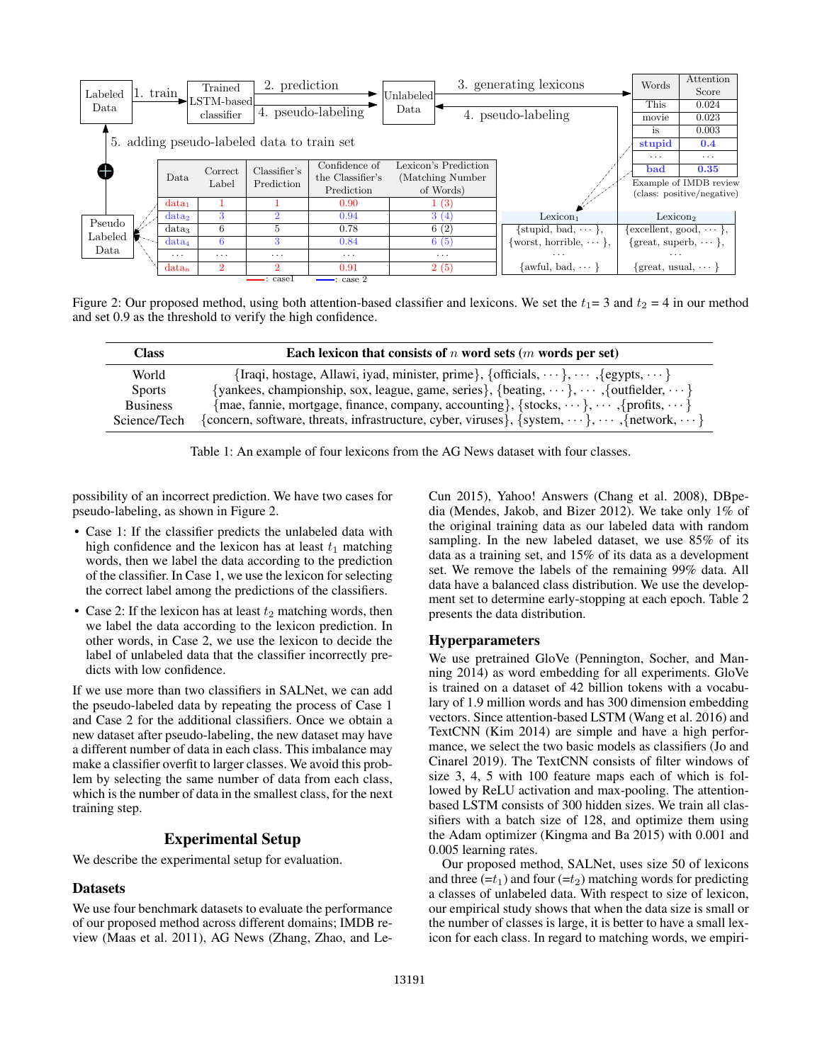

Figure 2: Our proposed method, using both attention-based classifier and lexicons. We set the  $t_1 = 3$  and  $t_2 = 4$  in our method and set 0.9 as the threshold to verify the high confidence.

| Class           | Each lexicon that consists of $n$ word sets $(m$ words per set)                                                 |
|-----------------|-----------------------------------------------------------------------------------------------------------------|
| World           | {Iraqi, hostage, Allawi, iyad, minister, prime}, {officials, $\cdots$ }, $\cdots$ , {egypts, $\cdots$ }         |
| Sports          | {yankees, championship, sox, league, game, series}, {beating, $\dots$ }, $\dots$ , {outfielder, $\dots$ }       |
| <b>Business</b> | {mae, fannie, mortgage, finance, company, accounting}, {stocks, $\cdots$ }, $\cdots$ , {profits, $\cdots$ }     |
| Science/Tech    | {concern, software, threats, infrastructure, cyber, viruses}, {system, $\dots$ }, $\dots$ , {network, $\dots$ } |

Table 1: An example of four lexicons from the AG News dataset with four classes.

possibility of an incorrect prediction. We have two cases for pseudo-labeling, as shown in Figure 2.

- Case 1: If the classifier predicts the unlabeled data with high confidence and the lexicon has at least  $t_1$  matching words, then we label the data according to the prediction of the classifier. In Case 1, we use the lexicon for selecting the correct label among the predictions of the classifiers.
- Case 2: If the lexicon has at least  $t_2$  matching words, then we label the data according to the lexicon prediction. In other words, in Case 2, we use the lexicon to decide the label of unlabeled data that the classifier incorrectly predicts with low confidence.

If we use more than two classifiers in SALNet, we can add the pseudo-labeled data by repeating the process of Case 1 and Case 2 for the additional classifiers. Once we obtain a new dataset after pseudo-labeling, the new dataset may have a different number of data in each class. This imbalance may make a classifier overfit to larger classes. We avoid this problem by selecting the same number of data from each class, which is the number of data in the smallest class, for the next training step.

# Experimental Setup

We describe the experimental setup for evaluation.

#### **Datasets**

We use four benchmark datasets to evaluate the performance of our proposed method across different domains; IMDB review (Maas et al. 2011), AG News (Zhang, Zhao, and LeCun 2015), Yahoo! Answers (Chang et al. 2008), DBpedia (Mendes, Jakob, and Bizer 2012). We take only 1% of the original training data as our labeled data with random sampling. In the new labeled dataset, we use 85% of its data as a training set, and 15% of its data as a development set. We remove the labels of the remaining 99% data. All data have a balanced class distribution. We use the development set to determine early-stopping at each epoch. Table 2 presents the data distribution.

## Hyperparameters

We use pretrained GloVe (Pennington, Socher, and Manning 2014) as word embedding for all experiments. GloVe is trained on a dataset of 42 billion tokens with a vocabulary of 1.9 million words and has 300 dimension embedding vectors. Since attention-based LSTM (Wang et al. 2016) and TextCNN (Kim 2014) are simple and have a high performance, we select the two basic models as classifiers (Jo and Cinarel 2019). The TextCNN consists of filter windows of size 3, 4, 5 with 100 feature maps each of which is followed by ReLU activation and max-pooling. The attentionbased LSTM consists of 300 hidden sizes. We train all classifiers with a batch size of 128, and optimize them using the Adam optimizer (Kingma and Ba 2015) with 0.001 and 0.005 learning rates.

Our proposed method, SALNet, uses size 50 of lexicons and three  $(=t_1)$  and four  $(=t_2)$  matching words for predicting a classes of unlabeled data. With respect to size of lexicon, our empirical study shows that when the data size is small or the number of classes is large, it is better to have a small lexicon for each class. In regard to matching words, we empiri-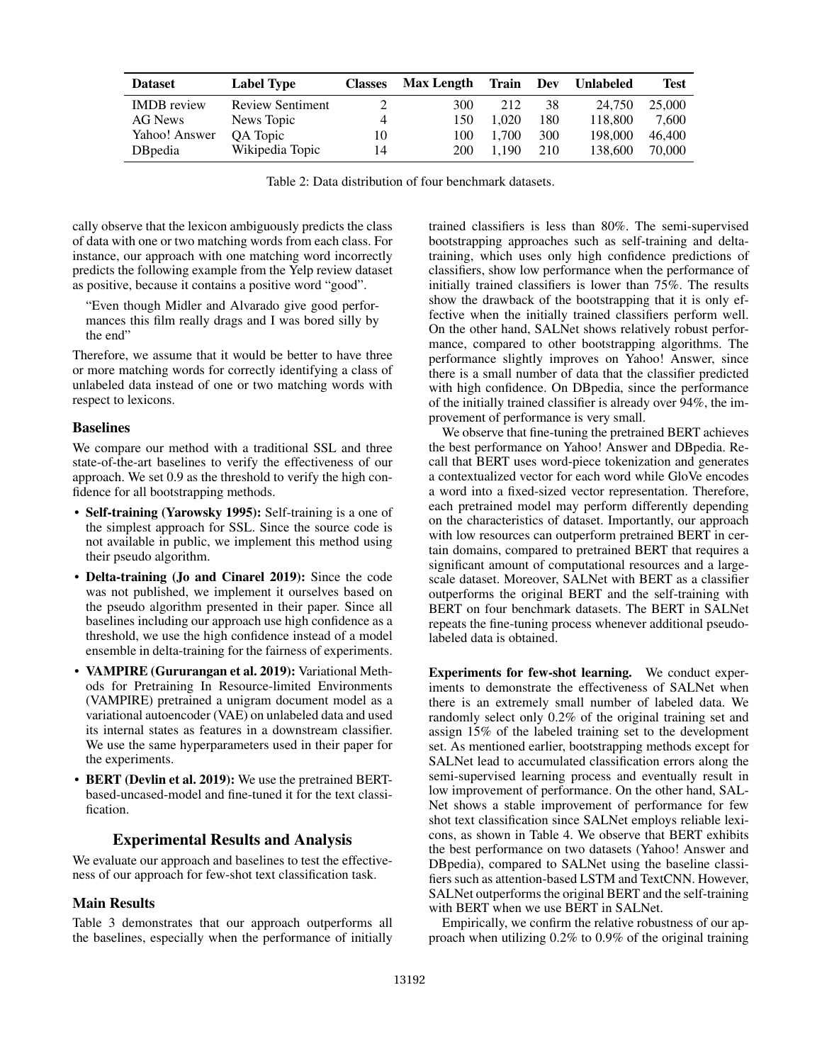| <b>Dataset</b>     | <b>Label Type</b>       | <b>Classes</b> | Max Length | Train Dev |     | <b>Unlabeled</b> | <b>Test</b> |
|--------------------|-------------------------|----------------|------------|-----------|-----|------------------|-------------|
| <b>IMDB</b> review | <b>Review Sentiment</b> |                | 300        | 212       | 38  | 24.750           | 25,000      |
| AG News            | News Topic              | 4              | 150        | 1.020     | 180 | 118,800          | 7.600       |
| Yahoo! Answer      | <b>OA</b> Topic         | 10             | 100        | 1.700     | 300 | 198,000          | 46,400      |
| DB pedia           | Wikipedia Topic         | 14             | 200        | 1.190     | 210 | 138,600          | 70,000      |

Table 2: Data distribution of four benchmark datasets.

cally observe that the lexicon ambiguously predicts the class of data with one or two matching words from each class. For instance, our approach with one matching word incorrectly predicts the following example from the Yelp review dataset as positive, because it contains a positive word "good".

"Even though Midler and Alvarado give good performances this film really drags and I was bored silly by the end"

Therefore, we assume that it would be better to have three or more matching words for correctly identifying a class of unlabeled data instead of one or two matching words with respect to lexicons.

#### Baselines

We compare our method with a traditional SSL and three state-of-the-art baselines to verify the effectiveness of our approach. We set 0.9 as the threshold to verify the high confidence for all bootstrapping methods.

- Self-training (Yarowsky 1995): Self-training is a one of the simplest approach for SSL. Since the source code is not available in public, we implement this method using their pseudo algorithm.
- Delta-training (Jo and Cinarel 2019): Since the code was not published, we implement it ourselves based on the pseudo algorithm presented in their paper. Since all baselines including our approach use high confidence as a threshold, we use the high confidence instead of a model ensemble in delta-training for the fairness of experiments.
- VAMPIRE (Gururangan et al. 2019): Variational Methods for Pretraining In Resource-limited Environments (VAMPIRE) pretrained a unigram document model as a variational autoencoder (VAE) on unlabeled data and used its internal states as features in a downstream classifier. We use the same hyperparameters used in their paper for the experiments.
- **BERT** (Devlin et al. 2019): We use the pretrained BERTbased-uncased-model and fine-tuned it for the text classification.

# Experimental Results and Analysis

We evaluate our approach and baselines to test the effectiveness of our approach for few-shot text classification task.

#### Main Results

Table 3 demonstrates that our approach outperforms all the baselines, especially when the performance of initially

trained classifiers is less than 80%. The semi-supervised bootstrapping approaches such as self-training and deltatraining, which uses only high confidence predictions of classifiers, show low performance when the performance of initially trained classifiers is lower than 75%. The results show the drawback of the bootstrapping that it is only effective when the initially trained classifiers perform well. On the other hand, SALNet shows relatively robust performance, compared to other bootstrapping algorithms. The performance slightly improves on Yahoo! Answer, since there is a small number of data that the classifier predicted with high confidence. On DBpedia, since the performance of the initially trained classifier is already over 94%, the improvement of performance is very small.

We observe that fine-tuning the pretrained BERT achieves the best performance on Yahoo! Answer and DBpedia. Recall that BERT uses word-piece tokenization and generates a contextualized vector for each word while GloVe encodes a word into a fixed-sized vector representation. Therefore, each pretrained model may perform differently depending on the characteristics of dataset. Importantly, our approach with low resources can outperform pretrained BERT in certain domains, compared to pretrained BERT that requires a significant amount of computational resources and a largescale dataset. Moreover, SALNet with BERT as a classifier outperforms the original BERT and the self-training with BERT on four benchmark datasets. The BERT in SALNet repeats the fine-tuning process whenever additional pseudolabeled data is obtained.

Experiments for few-shot learning. We conduct experiments to demonstrate the effectiveness of SALNet when there is an extremely small number of labeled data. We randomly select only 0.2% of the original training set and assign 15% of the labeled training set to the development set. As mentioned earlier, bootstrapping methods except for SALNet lead to accumulated classification errors along the semi-supervised learning process and eventually result in low improvement of performance. On the other hand, SAL-Net shows a stable improvement of performance for few shot text classification since SALNet employs reliable lexicons, as shown in Table 4. We observe that BERT exhibits the best performance on two datasets (Yahoo! Answer and DBpedia), compared to SALNet using the baseline classifiers such as attention-based LSTM and TextCNN. However, SALNet outperforms the original BERT and the self-training with BERT when we use BERT in SALNet.

Empirically, we confirm the relative robustness of our approach when utilizing 0.2% to 0.9% of the original training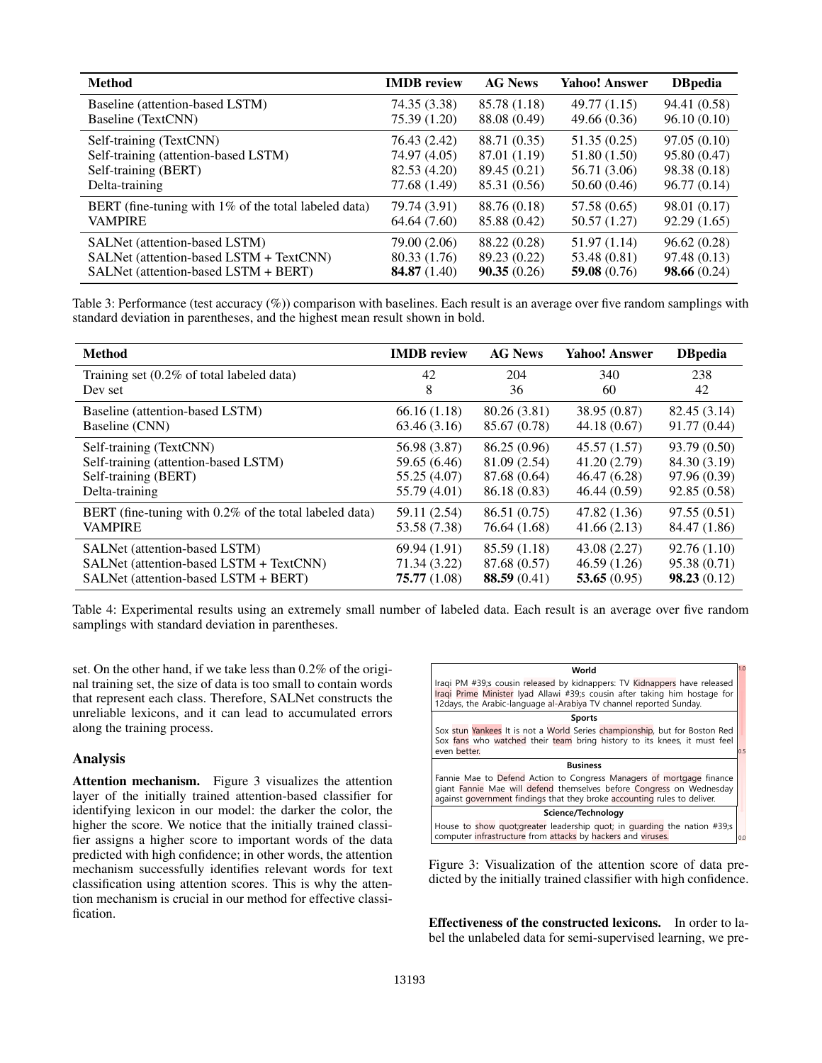| <b>Method</b>                                        | <b>IMDB</b> review  | <b>AG News</b> | <b>Yahoo! Answer</b> | <b>DB</b> pedia       |
|------------------------------------------------------|---------------------|----------------|----------------------|-----------------------|
| Baseline (attention-based LSTM)                      | 74.35 (3.38)        | 85.78 (1.18)   | 49.77 (1.15)         | 94.41 (0.58)          |
| Baseline (TextCNN)                                   | 75.39 (1.20)        | 88.08 (0.49)   | 49.66(0.36)          | 96.10(0.10)           |
| Self-training (TextCNN)                              | 76.43 (2.42)        | 88.71 (0.35)   | 51.35(0.25)          | 97.05(0.10)           |
| Self-training (attention-based LSTM)                 | 74.97 (4.05)        | 87.01 (1.19)   | 51.80 (1.50)         | 95.80 (0.47)          |
| Self-training (BERT)                                 | 82.53 (4.20)        | 89.45 (0.21)   | 56.71 (3.06)         | 98.38 (0.18)          |
| Delta-training                                       | 77.68 (1.49)        | 85.31 (0.56)   | 50.60(0.46)          | 96.77(0.14)           |
| BERT (fine-tuning with 1% of the total labeled data) | 79.74 (3.91)        | 88.76 (0.18)   | 57.58 (0.65)         | 98.01 (0.17)          |
| <b>VAMPIRE</b>                                       | 64.64 (7.60)        | 85.88 (0.42)   | 50.57 (1.27)         | 92.29(1.65)           |
| SALNet (attention-based LSTM)                        | 79.00 (2.06)        | 88.22 (0.28)   | 51.97 (1.14)         | 96.62(0.28)           |
| SALNet (attention-based LSTM + TextCNN)              | 80.33 (1.76)        | 89.23 (0.22)   | 53.48 (0.81)         | 97.48 (0.13)          |
| SALNet (attention-based LSTM + BERT)                 | <b>84.87</b> (1.40) | 90.35(0.26)    | 59.08 $(0.76)$       | <b>98.66</b> $(0.24)$ |

Table 3: Performance (test accuracy (%)) comparison with baselines. Each result is an average over five random samplings with standard deviation in parentheses, and the highest mean result shown in bold.

| <b>Method</b>                                          | <b>IMDB</b> review | <b>AG News</b> | <b>Yahoo! Answer</b> | <b>DBpedia</b> |
|--------------------------------------------------------|--------------------|----------------|----------------------|----------------|
| Training set $(0.2\%$ of total labeled data)           | 42                 | 204            | 340                  | 238            |
| Dev set                                                | 8                  | 36             | 60                   | 42             |
| Baseline (attention-based LSTM)                        | 66.16(1.18)        | 80.26 (3.81)   | 38.95 (0.87)         | 82.45 (3.14)   |
| Baseline (CNN)                                         | 63.46(3.16)        | 85.67 (0.78)   | 44.18(0.67)          | 91.77(0.44)    |
| Self-training (TextCNN)                                | 56.98 (3.87)       | 86.25 (0.96)   | 45.57 (1.57)         | 93.79 (0.50)   |
| Self-training (attention-based LSTM)                   | 59.65 (6.46)       | 81.09 (2.54)   | 41.20 (2.79)         | 84.30 (3.19)   |
| Self-training (BERT)                                   | 55.25 (4.07)       | 87.68 (0.64)   | 46.47 (6.28)         | 97.96 (0.39)   |
| Delta-training                                         | 55.79 (4.01)       | 86.18 (0.83)   | 46.44(0.59)          | 92.85 (0.58)   |
| BERT (fine-tuning with 0.2% of the total labeled data) | 59.11 (2.54)       | 86.51 (0.75)   | 47.82 (1.36)         | 97.55(0.51)    |
| <b>VAMPIRE</b>                                         | 53.58 (7.38)       | 76.64 (1.68)   | 41.66(2.13)          | 84.47 (1.86)   |
| SALNet (attention-based LSTM)                          | 69.94 (1.91)       | 85.59 (1.18)   | 43.08 (2.27)         | 92.76(1.10)    |
| SALNet (attention-based LSTM + TextCNN)                | 71.34 (3.22)       | 87.68 (0.57)   | 46.59(1.26)          | 95.38 (0.71)   |
| SALNet (attention-based LSTM + BERT)                   | 75.77(1.08)        | 88.59 $(0.41)$ | 53.65 $(0.95)$       | 98.23(0.12)    |

Table 4: Experimental results using an extremely small number of labeled data. Each result is an average over five random samplings with standard deviation in parentheses.

set. On the other hand, if we take less than 0.2% of the original training set, the size of data is too small to contain words that represent each class. Therefore, SALNet constructs the unreliable lexicons, and it can lead to accumulated errors along the training process.

## Analysis

Attention mechanism. Figure 3 visualizes the attention layer of the initially trained attention-based classifier for identifying lexicon in our model: the darker the color, the higher the score. We notice that the initially trained classifier assigns a higher score to important words of the data predicted with high confidence; in other words, the attention mechanism successfully identifies relevant words for text classification using attention scores. This is why the attention mechanism is crucial in our method for effective classification.



Figure 3: Visualization of the attention score of data predicted by the initially trained classifier with high confidence.

Effectiveness of the constructed lexicons. In order to label the unlabeled data for semi-supervised learning, we pre-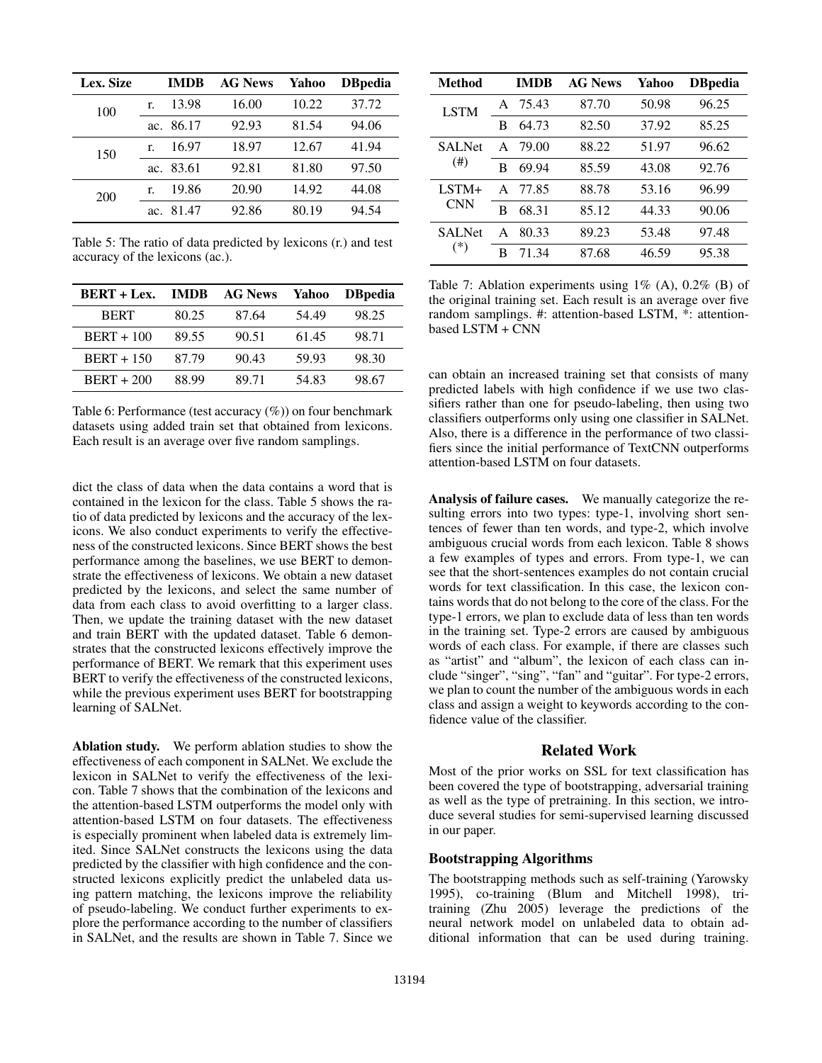| Lex. Size |    | <b>IMDB</b> | <b>AG News</b> | Yahoo | <b>D</b> Bpedia |
|-----------|----|-------------|----------------|-------|-----------------|
| 100       | r. | 13.98       | 16.00          | 10.22 | 37.72           |
|           |    | ac. 86.17   | 92.93          | 81.54 | 94.06           |
| 150       | r. | 16.97       | 18.97          | 12.67 | 41.94           |
|           |    | ac. 83.61   | 92.81          | 81.80 | 97.50           |
| 200       | r. | 19.86       | 20.90          | 14.92 | 44.08           |
|           |    | ac. 81.47   | 92.86          | 80.19 | 94.54           |

Table 5: The ratio of data predicted by lexicons (r.) and test accuracy of the lexicons (ac.).

| <b>BERT + Lex.</b> | <b>IMDB</b> | <b>AG News</b> | Yahoo | <b>D</b> Bpedia |
|--------------------|-------------|----------------|-------|-----------------|
| <b>BERT</b>        | 80.25       | 87.64          | 54.49 | 98.25           |
| $BERT + 100$       | 89.55       | 90.51          | 61.45 | 98.71           |
| $BERT + 150$       | 87.79       | 90.43          | 59.93 | 98.30           |
| $BERT + 200$       | 88.99       | 89.71          | 54.83 | 98.67           |

Table 6: Performance (test accuracy (%)) on four benchmark datasets using added train set that obtained from lexicons. Each result is an average over five random samplings.

dict the class of data when the data contains a word that is contained in the lexicon for the class. Table 5 shows the ratio of data predicted by lexicons and the accuracy of the lexicons. We also conduct experiments to verify the effectiveness of the constructed lexicons. Since BERT shows the best performance among the baselines, we use BERT to demonstrate the effectiveness of lexicons. We obtain a new dataset predicted by the lexicons, and select the same number of data from each class to avoid overfitting to a larger class. Then, we update the training dataset with the new dataset and train BERT with the updated dataset. Table 6 demonstrates that the constructed lexicons effectively improve the performance of BERT. We remark that this experiment uses BERT to verify the effectiveness of the constructed lexicons, while the previous experiment uses BERT for bootstrapping learning of SALNet.

Ablation study. We perform ablation studies to show the effectiveness of each component in SALNet. We exclude the lexicon in SALNet to verify the effectiveness of the lexicon. Table 7 shows that the combination of the lexicons and the attention-based LSTM outperforms the model only with attention-based LSTM on four datasets. The effectiveness is especially prominent when labeled data is extremely limited. Since SALNet constructs the lexicons using the data predicted by the classifier with high confidence and the constructed lexicons explicitly predict the unlabeled data using pattern matching, the lexicons improve the reliability of pseudo-labeling. We conduct further experiments to explore the performance according to the number of classifiers in SALNet, and the results are shown in Table 7. Since we

| Method        |   | <b>IMDB</b> | <b>AG News</b> | Yahoo | <b>DB</b> pedia |
|---------------|---|-------------|----------------|-------|-----------------|
| <b>LSTM</b>   | A | 75.43       | 87.70          | 50.98 | 96.25           |
|               | в | 64.73       | 82.50          | 37.92 | 85.25           |
| <b>SALNet</b> | A | 79.00       | 88.22          | 51.97 | 96.62           |
| (# )          | в | 69.94       | 85.59          | 43.08 | 92.76           |
| LSTM+         | A | 77.85       | 88.78          | 53.16 | 96.99           |
| <b>CNN</b>    | в | 68.31       | 85.12          | 44.33 | 90.06           |
| <b>SALNet</b> | A | 80.33       | 89.23          | 53.48 | 97.48           |
| $(*)$         | в | 71.34       | 87.68          | 46.59 | 95.38           |

Table 7: Ablation experiments using  $1\%$  (A),  $0.2\%$  (B) of the original training set. Each result is an average over five random samplings. #: attention-based LSTM, \*: attentionbased LSTM + CNN

can obtain an increased training set that consists of many predicted labels with high confidence if we use two classifiers rather than one for pseudo-labeling, then using two classifiers outperforms only using one classifier in SALNet. Also, there is a difference in the performance of two classifiers since the initial performance of TextCNN outperforms attention-based LSTM on four datasets.

Analysis of failure cases. We manually categorize the resulting errors into two types: type-1, involving short sentences of fewer than ten words, and type-2, which involve ambiguous crucial words from each lexicon. Table 8 shows a few examples of types and errors. From type-1, we can see that the short-sentences examples do not contain crucial words for text classification. In this case, the lexicon contains words that do not belong to the core of the class. For the type-1 errors, we plan to exclude data of less than ten words in the training set. Type-2 errors are caused by ambiguous words of each class. For example, if there are classes such as "artist" and "album", the lexicon of each class can include "singer", "sing", "fan" and "guitar". For type-2 errors, we plan to count the number of the ambiguous words in each class and assign a weight to keywords according to the confidence value of the classifier.

# Related Work

Most of the prior works on SSL for text classification has been covered the type of bootstrapping, adversarial training as well as the type of pretraining. In this section, we introduce several studies for semi-supervised learning discussed in our paper.

## Bootstrapping Algorithms

The bootstrapping methods such as self-training (Yarowsky 1995), co-training (Blum and Mitchell 1998), tritraining (Zhu 2005) leverage the predictions of the neural network model on unlabeled data to obtain additional information that can be used during training.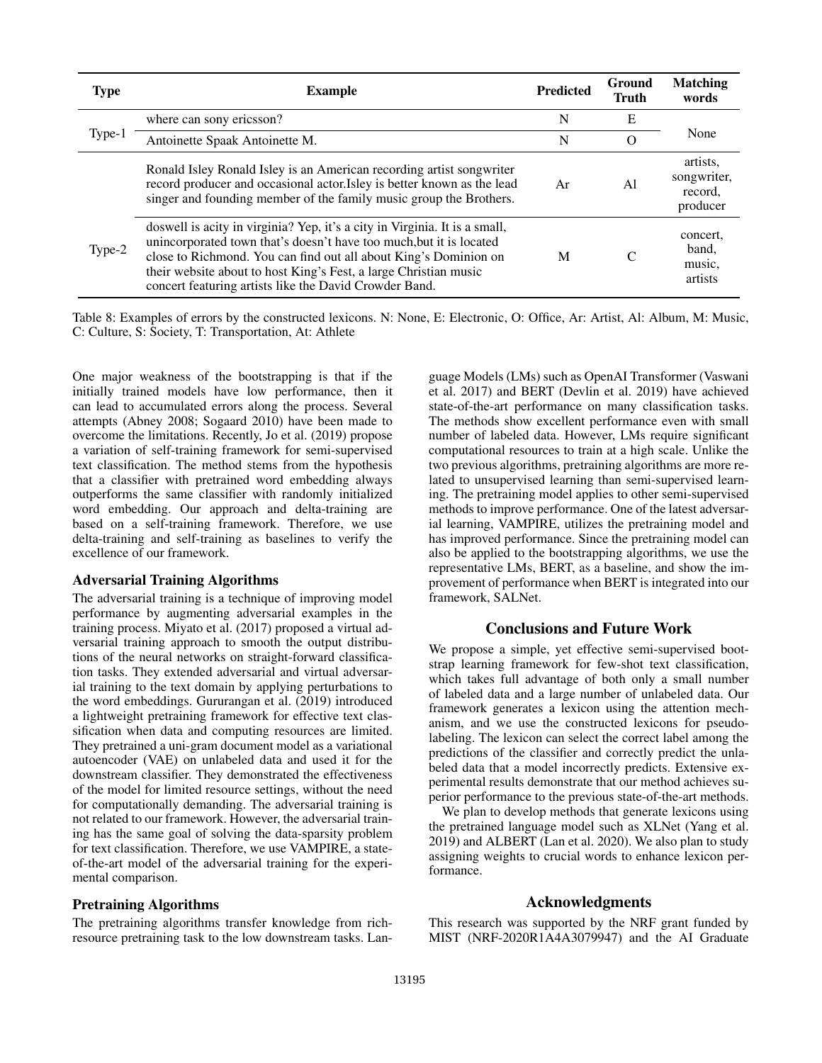| <b>Type</b> | <b>Example</b>                                                                                                                                                                                                                                                                                                                                      | <b>Predicted</b> | Ground<br><b>Truth</b> | <b>Matching</b><br>words                       |
|-------------|-----------------------------------------------------------------------------------------------------------------------------------------------------------------------------------------------------------------------------------------------------------------------------------------------------------------------------------------------------|------------------|------------------------|------------------------------------------------|
|             | where can sony ericsson?                                                                                                                                                                                                                                                                                                                            | N                | Ε                      |                                                |
| Type-1      | Antoinette Spaak Antoinette M.                                                                                                                                                                                                                                                                                                                      | N                | $\Omega$               | None                                           |
|             | Ronald Isley Ronald Isley is an American recording artist songwriter<br>record producer and occasional actor. Isley is better known as the lead<br>singer and founding member of the family music group the Brothers.                                                                                                                               | Ar               | A1                     | artists,<br>songwriter,<br>record.<br>producer |
| Type-2      | doswell is acity in virginia? Yep, it's a city in Virginia. It is a small,<br>unincorporated town that's doesn't have too much, but it is located<br>close to Richmond. You can find out all about King's Dominion on<br>their website about to host King's Fest, a large Christian music<br>concert featuring artists like the David Crowder Band. | M                | C                      | concert,<br>band.<br>music,<br>artists         |

Table 8: Examples of errors by the constructed lexicons. N: None, E: Electronic, O: Office, Ar: Artist, Al: Album, M: Music, C: Culture, S: Society, T: Transportation, At: Athlete

One major weakness of the bootstrapping is that if the initially trained models have low performance, then it can lead to accumulated errors along the process. Several attempts (Abney 2008; Sogaard 2010) have been made to overcome the limitations. Recently, Jo et al. (2019) propose a variation of self-training framework for semi-supervised text classification. The method stems from the hypothesis that a classifier with pretrained word embedding always outperforms the same classifier with randomly initialized word embedding. Our approach and delta-training are based on a self-training framework. Therefore, we use delta-training and self-training as baselines to verify the excellence of our framework.

#### Adversarial Training Algorithms

The adversarial training is a technique of improving model performance by augmenting adversarial examples in the training process. Miyato et al. (2017) proposed a virtual adversarial training approach to smooth the output distributions of the neural networks on straight-forward classification tasks. They extended adversarial and virtual adversarial training to the text domain by applying perturbations to the word embeddings. Gururangan et al. (2019) introduced a lightweight pretraining framework for effective text classification when data and computing resources are limited. They pretrained a uni-gram document model as a variational autoencoder (VAE) on unlabeled data and used it for the downstream classifier. They demonstrated the effectiveness of the model for limited resource settings, without the need for computationally demanding. The adversarial training is not related to our framework. However, the adversarial training has the same goal of solving the data-sparsity problem for text classification. Therefore, we use VAMPIRE, a stateof-the-art model of the adversarial training for the experimental comparison.

# Pretraining Algorithms

The pretraining algorithms transfer knowledge from richresource pretraining task to the low downstream tasks. Language Models (LMs) such as OpenAI Transformer (Vaswani et al. 2017) and BERT (Devlin et al. 2019) have achieved state-of-the-art performance on many classification tasks. The methods show excellent performance even with small number of labeled data. However, LMs require significant computational resources to train at a high scale. Unlike the two previous algorithms, pretraining algorithms are more related to unsupervised learning than semi-supervised learning. The pretraining model applies to other semi-supervised methods to improve performance. One of the latest adversarial learning, VAMPIRE, utilizes the pretraining model and has improved performance. Since the pretraining model can also be applied to the bootstrapping algorithms, we use the representative LMs, BERT, as a baseline, and show the improvement of performance when BERT is integrated into our framework, SALNet.

# Conclusions and Future Work

We propose a simple, yet effective semi-supervised bootstrap learning framework for few-shot text classification, which takes full advantage of both only a small number of labeled data and a large number of unlabeled data. Our framework generates a lexicon using the attention mechanism, and we use the constructed lexicons for pseudolabeling. The lexicon can select the correct label among the predictions of the classifier and correctly predict the unlabeled data that a model incorrectly predicts. Extensive experimental results demonstrate that our method achieves superior performance to the previous state-of-the-art methods.

We plan to develop methods that generate lexicons using the pretrained language model such as XLNet (Yang et al. 2019) and ALBERT (Lan et al. 2020). We also plan to study assigning weights to crucial words to enhance lexicon performance.

# Acknowledgments

This research was supported by the NRF grant funded by MIST (NRF-2020R1A4A3079947) and the AI Graduate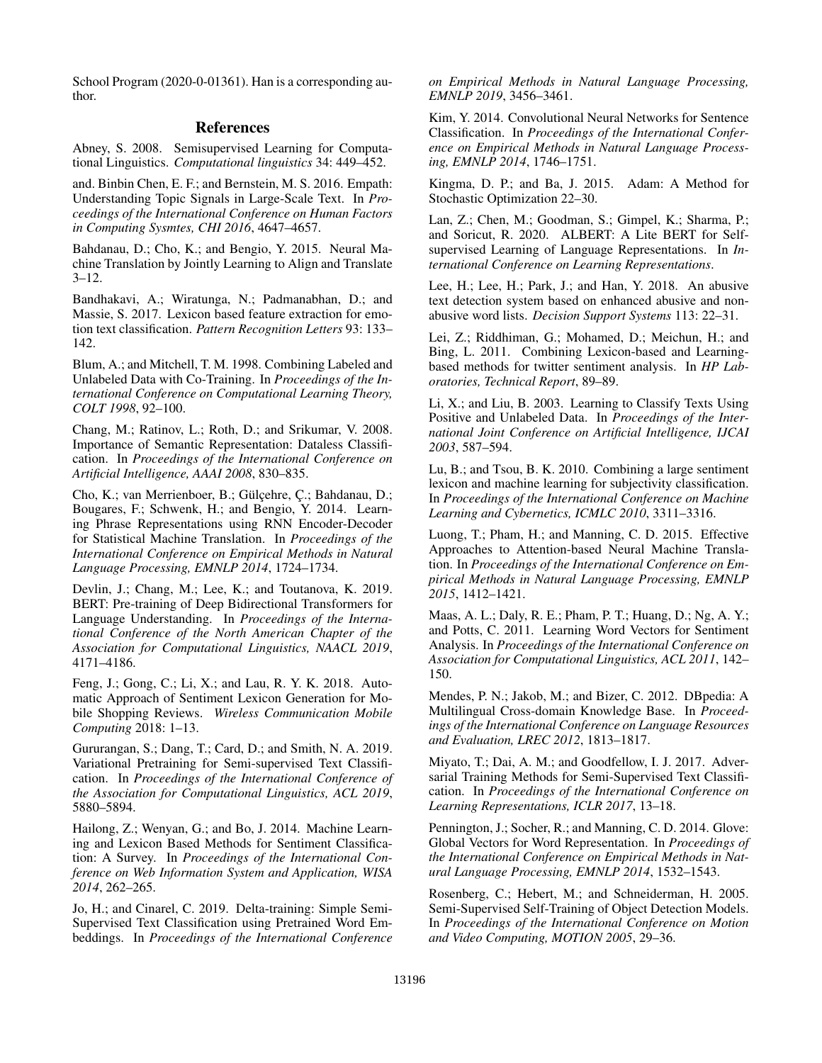School Program (2020-0-01361). Han is a corresponding author.

# References

Abney, S. 2008. Semisupervised Learning for Computational Linguistics. *Computational linguistics* 34: 449–452.

and. Binbin Chen, E. F.; and Bernstein, M. S. 2016. Empath: Understanding Topic Signals in Large-Scale Text. In *Proceedings of the International Conference on Human Factors in Computing Sysmtes, CHI 2016*, 4647–4657.

Bahdanau, D.; Cho, K.; and Bengio, Y. 2015. Neural Machine Translation by Jointly Learning to Align and Translate  $3 - 12.$ 

Bandhakavi, A.; Wiratunga, N.; Padmanabhan, D.; and Massie, S. 2017. Lexicon based feature extraction for emotion text classification. *Pattern Recognition Letters* 93: 133– 142.

Blum, A.; and Mitchell, T. M. 1998. Combining Labeled and Unlabeled Data with Co-Training. In *Proceedings of the International Conference on Computational Learning Theory, COLT 1998*, 92–100.

Chang, M.; Ratinov, L.; Roth, D.; and Srikumar, V. 2008. Importance of Semantic Representation: Dataless Classification. In *Proceedings of the International Conference on Artificial Intelligence, AAAI 2008*, 830–835.

Cho, K.; van Merrienboer, B.; Gülçehre, Ç.; Bahdanau, D.; Bougares, F.; Schwenk, H.; and Bengio, Y. 2014. Learning Phrase Representations using RNN Encoder-Decoder for Statistical Machine Translation. In *Proceedings of the International Conference on Empirical Methods in Natural Language Processing, EMNLP 2014*, 1724–1734.

Devlin, J.; Chang, M.; Lee, K.; and Toutanova, K. 2019. BERT: Pre-training of Deep Bidirectional Transformers for Language Understanding. In *Proceedings of the International Conference of the North American Chapter of the Association for Computational Linguistics, NAACL 2019*, 4171–4186.

Feng, J.; Gong, C.; Li, X.; and Lau, R. Y. K. 2018. Automatic Approach of Sentiment Lexicon Generation for Mobile Shopping Reviews. *Wireless Communication Mobile Computing* 2018: 1–13.

Gururangan, S.; Dang, T.; Card, D.; and Smith, N. A. 2019. Variational Pretraining for Semi-supervised Text Classification. In *Proceedings of the International Conference of the Association for Computational Linguistics, ACL 2019*, 5880–5894.

Hailong, Z.; Wenyan, G.; and Bo, J. 2014. Machine Learning and Lexicon Based Methods for Sentiment Classification: A Survey. In *Proceedings of the International Conference on Web Information System and Application, WISA 2014*, 262–265.

Jo, H.; and Cinarel, C. 2019. Delta-training: Simple Semi-Supervised Text Classification using Pretrained Word Embeddings. In *Proceedings of the International Conference* *on Empirical Methods in Natural Language Processing, EMNLP 2019*, 3456–3461.

Kim, Y. 2014. Convolutional Neural Networks for Sentence Classification. In *Proceedings of the International Conference on Empirical Methods in Natural Language Processing, EMNLP 2014*, 1746–1751.

Kingma, D. P.; and Ba, J. 2015. Adam: A Method for Stochastic Optimization 22–30.

Lan, Z.; Chen, M.; Goodman, S.; Gimpel, K.; Sharma, P.; and Soricut, R. 2020. ALBERT: A Lite BERT for Selfsupervised Learning of Language Representations. In *International Conference on Learning Representations*.

Lee, H.; Lee, H.; Park, J.; and Han, Y. 2018. An abusive text detection system based on enhanced abusive and nonabusive word lists. *Decision Support Systems* 113: 22–31.

Lei, Z.; Riddhiman, G.; Mohamed, D.; Meichun, H.; and Bing, L. 2011. Combining Lexicon-based and Learningbased methods for twitter sentiment analysis. In *HP Laboratories, Technical Report*, 89–89.

Li, X.; and Liu, B. 2003. Learning to Classify Texts Using Positive and Unlabeled Data. In *Proceedings of the International Joint Conference on Artificial Intelligence, IJCAI 2003*, 587–594.

Lu, B.; and Tsou, B. K. 2010. Combining a large sentiment lexicon and machine learning for subjectivity classification. In *Proceedings of the International Conference on Machine Learning and Cybernetics, ICMLC 2010*, 3311–3316.

Luong, T.; Pham, H.; and Manning, C. D. 2015. Effective Approaches to Attention-based Neural Machine Translation. In *Proceedings of the International Conference on Empirical Methods in Natural Language Processing, EMNLP 2015*, 1412–1421.

Maas, A. L.; Daly, R. E.; Pham, P. T.; Huang, D.; Ng, A. Y.; and Potts, C. 2011. Learning Word Vectors for Sentiment Analysis. In *Proceedings of the International Conference on Association for Computational Linguistics, ACL 2011*, 142– 150.

Mendes, P. N.; Jakob, M.; and Bizer, C. 2012. DBpedia: A Multilingual Cross-domain Knowledge Base. In *Proceedings of the International Conference on Language Resources and Evaluation, LREC 2012*, 1813–1817.

Miyato, T.; Dai, A. M.; and Goodfellow, I. J. 2017. Adversarial Training Methods for Semi-Supervised Text Classification. In *Proceedings of the International Conference on Learning Representations, ICLR 2017*, 13–18.

Pennington, J.; Socher, R.; and Manning, C. D. 2014. Glove: Global Vectors for Word Representation. In *Proceedings of the International Conference on Empirical Methods in Natural Language Processing, EMNLP 2014*, 1532–1543.

Rosenberg, C.; Hebert, M.; and Schneiderman, H. 2005. Semi-Supervised Self-Training of Object Detection Models. In *Proceedings of the International Conference on Motion and Video Computing, MOTION 2005*, 29–36.